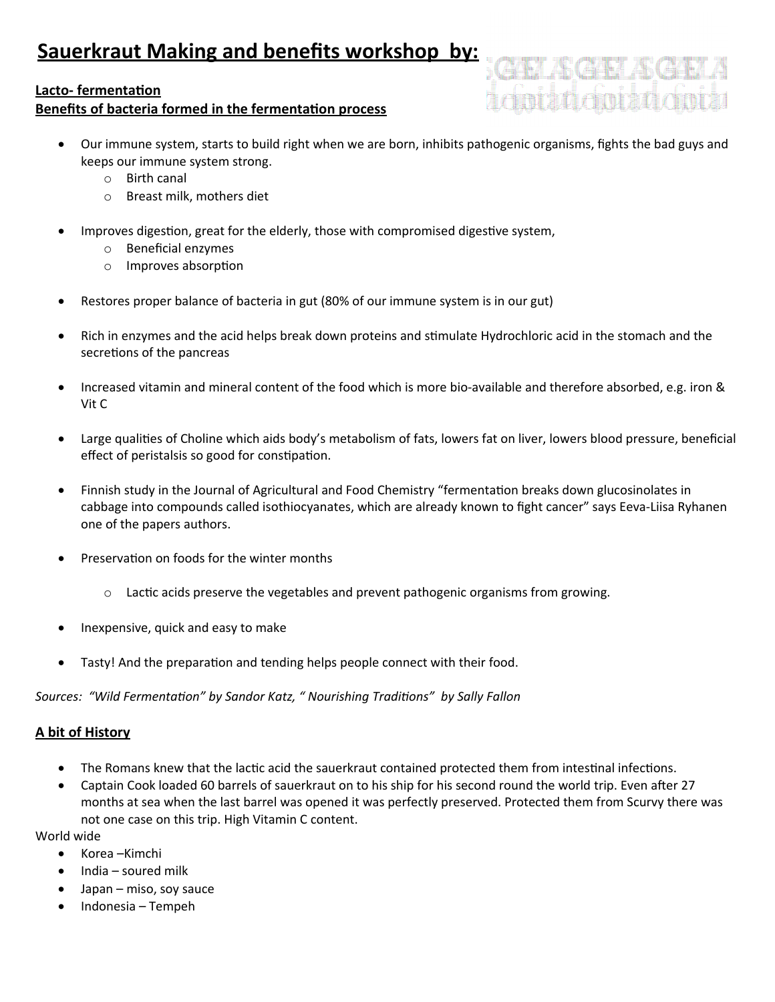# **Lacto-fermentation**

# **Benefits of bacteria formed in the fermentation process**

- Our immune system, starts to build right when we are born, inhibits pathogenic organisms, fghts the bad guys and keeps our immune system strong.
	- o Birth canal
	- o Breast milk, mothers diet
- Improves digestion, great for the elderly, those with compromised digestive system,
	- $\circ$  Beneficial enzymes
	- $\circ$  Improves absorption
- Restores proper balance of bacteria in gut (80% of our immune system is in our gut)
- Rich in enzymes and the acid helps break down proteins and stmulate Hydrochloric acid in the stomach and the secretions of the pancreas
- Increased vitamin and mineral content of the food which is more bio-available and therefore absorbed, e.g. iron & Vit C
- Large qualites of Choline which aids body's metabolism of fats, lowers fat on liver, lowers blood pressure, benefcial effect of peristalsis so good for constipation.
- Finnish study in the Journal of Agricultural and Food Chemistry "fermentaton breaks down glucosinolates in cabbage into compounds called isothiocyanates, which are already known to fght cancer" says Eeva-Liisa Ryhanen one of the papers authors.
- Preservation on foods for the winter months
	- $\circ$  Lactic acids preserve the vegetables and prevent pathogenic organisms from growing.
- Inexpensive, quick and easy to make
- Tasty! And the preparation and tending helps people connect with their food.

### *Sources: "Wild Fermentation" by Sandor Katz, " Nourishing Traditions" by Sally Fallon*

### **A bit of History**

- The Romans knew that the lactic acid the sauerkraut contained protected them from intestinal infections.
- Captain Cook loaded 60 barrels of sauerkraut on to his ship for his second round the world trip. Even afer 27 months at sea when the last barrel was opened it was perfectly preserved. Protected them from Scurvy there was not one case on this trip. High Vitamin C content.

World wide

- Korea –Kimchi
- $\bullet$  India soured milk
- $\bullet$  Japan miso, soy sauce
- Indonesia Tempeh